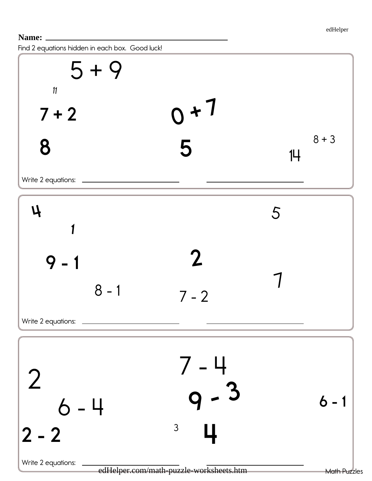Find 2 equations hidden in each box. Good luck!

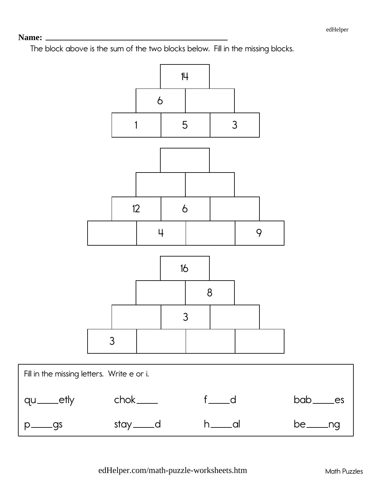#### 

The block above is the sum of the two blocks below. Fill in the missing blocks.

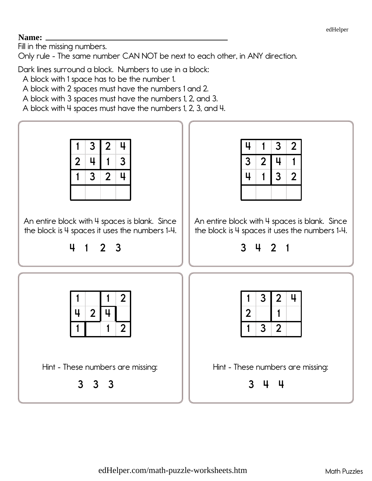## Name:

Fill in the missing numbers.

Only rule - The same number CAN NOT be next to each other, in ANY direction.

Dark lines surround a block. Numbers to use in a block:

A block with 1 space has to be the number 1.

A block with 2 spaces must have the numbers 1 and 2.

A block with 3 spaces must have the numbers 1, 2, and 3.

A block with 4 spaces must have the numbers 1, 2, 3, and 4.

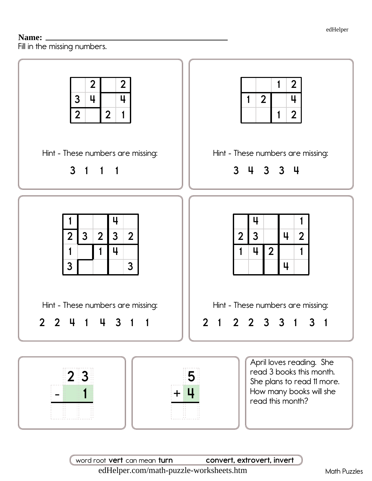## Name:

Fill in the missing numbers.



word root vert can mean turn convert, extrovert, invert edHelper.com/math-puzzle-worksheets.htm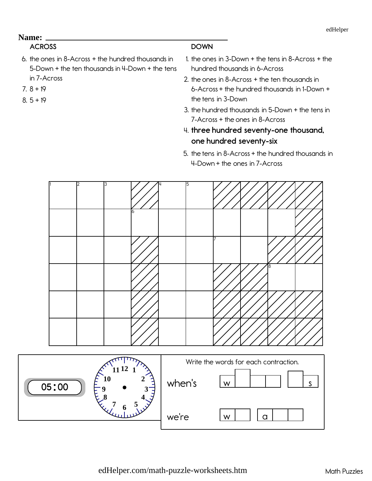# ACROSS

- 6. the ones in 8-Across  $+$  the hundred thousands in 5-Down + the ten thousands in 4-Down + the tens in 7-Across
- $7.8 + 19$
- $8.5 + 19$

#### **DOWN**

- 1. the ones in 3-Down  $+$  the tens in 8-Across  $+$  the hundred thousands in 6-Across
- 2. the ones in 8-Across  $+$  the ten thousands in  $6$ -Across + the hundred thousands in 1-Down + the tens in 3-Down
- 3. the hundred thousands in 5-Down + the tens in  $7-Across + the ones in 8-Across$
- 4. three hundred seventy-one thousand, one hundred seventy-six
- 5. the tens in 8-Across  $+$  the hundred thousands in 4-Down + the ones in 7-Across

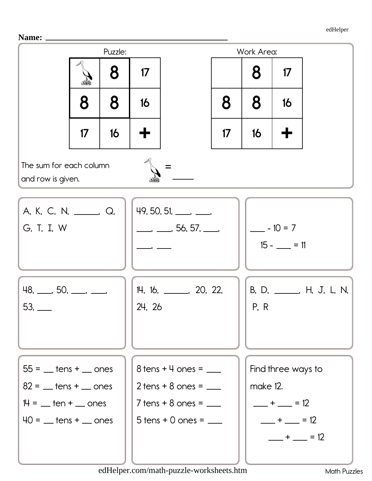Name: \_



edHelper.com/math-puzzle-worksheets.htm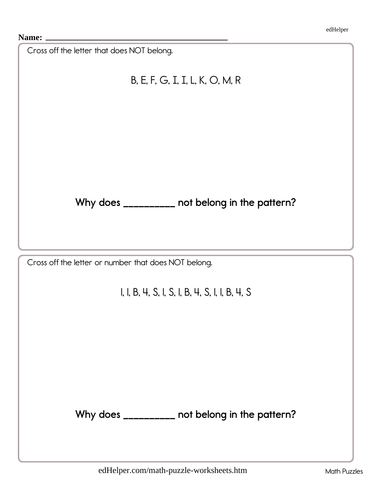| Cross off the letter that does NOT belong.           |
|------------------------------------------------------|
| B, E, F, G, I, I, L, K, O, M, R                      |
|                                                      |
|                                                      |
|                                                      |
|                                                      |
|                                                      |
| Why does _________ not belong in the pattern?        |
|                                                      |
| Cross off the letter or number that does NOT belong. |
| I, I, B, 4, S, I, S, I, B, 4, S, I, I, B, 4, S       |
|                                                      |
|                                                      |
|                                                      |
|                                                      |
|                                                      |
| Why does _________ not belong in the pattern?        |
|                                                      |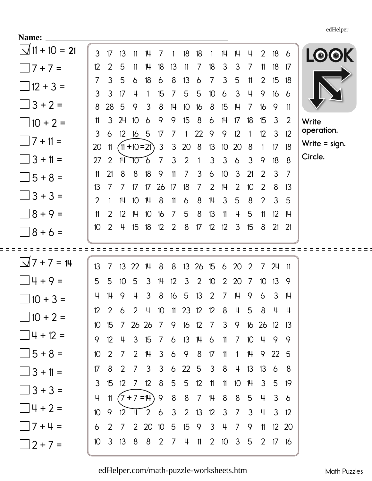**Name:**

| <b>Name:</b>                     |                       |                     |                           |                |                   |                         |                     |                       |                |                 |                 |                                                 |              |                 |                     |              |                     |
|----------------------------------|-----------------------|---------------------|---------------------------|----------------|-------------------|-------------------------|---------------------|-----------------------|----------------|-----------------|-----------------|-------------------------------------------------|--------------|-----------------|---------------------|--------------|---------------------|
| $\sqrt{11 + 10} = 21$            | $\mathfrak{Z}$        | 17                  | 13                        | 11             | 14                | 7                       |                     | 18                    | 18             | 1               | 14              | 14                                              | 4            | $\overline{2}$  | 18                  | 6            | <b>LOOK</b>         |
| $\Box$ 7 + 7 =                   | 12                    | 2                   | 5                         | 11             | 14                | 18                      | 13                  | 11                    | $\overline{7}$ | 18              | $\mathfrak{Z}$  | $\mathcal{S}$                                   | 7            | 11              | 18                  | 17           |                     |
| $\Box$ 12 + 3 =                  | $\overline{7}$        | 3                   | 5                         | 6              | 18                | 6                       | 8                   | 13                    | 6              | $\overline{7}$  | 3               | 5                                               | 11           | $\overline{2}$  | 15                  | 18           |                     |
| $\Box$ 3 + 2 =                   | 3                     | 3                   | 17                        | 4              |                   | 15                      | $\overline{7}$      | $5\overline{)}$       | 5              | 10 <sup>°</sup> | $\delta$        | 3                                               | 4            | 9               | 16                  | $\delta$     |                     |
|                                  | 8<br>11               | 28<br>3             | 5<br>24                   | 9<br>10        | 3<br>6            | 8<br>9                  | 14<br>9             | 10 <sup>°</sup><br>15 | 16<br>8        | 8<br>6          | 15<br>14        | 14<br>17                                        | 7<br>18      | 16<br>15        | 9<br>3              | 11<br>2      |                     |
| $\Box$ 10 + 2 =                  | 3                     | 6                   | 12                        | 16             | 5                 | 17                      | $\overline{7}$      | 1                     | 22             | 9               | 9               | 12                                              |              | 12              | 3                   | 12           | Write<br>operation. |
| $\Box$ 7 + 11 =                  | 20                    | 11                  |                           |                | $(11 + 10 = 21)$  | $\mathfrak{Z}$          | $\mathfrak{Z}$      | 20                    | 8              | 13              | 10 <sup>°</sup> | 20                                              | 8            | $\mathbf{1}$    | 17                  | 18           | Write $=$ sign.     |
| $\Box$ 3 + 11 =                  | 27                    | 2                   | $\mathbb{H}^{\mathbb{C}}$ | 70             | 6                 | $\overline{7}$          | $\mathfrak{Z}$      | 2                     | $\mathbf{1}$   | 3               | $\mathbf{3}$    | 6                                               | $\mathbf{3}$ | 9               | 18                  | - 8          | Circle.             |
| $\bigcup$ 5 + 8 =                | 11                    | 21                  | 8                         | 8              | 18                | 9                       | 11                  | $\overline{7}$        | 3              | 6               | 10 <sup>°</sup> | 3                                               | 21           | 2               | 3                   | 7            |                     |
| $\Box$ 3 + 3 =                   | 13                    | 7                   | $\overline{7}$            | 17             | 17                | 26                      | 17                  | 18                    | 7              | 2               | 14              | $\overline{2}$                                  | 10           | 2               | 8                   | 13           |                     |
|                                  | $\overline{2}$        |                     | 14                        | 10             | 14                | 8                       | 11                  | 6                     | 8              | 14              | 3               | 5                                               | 8            | 2               | 3                   | 5            |                     |
| $\Box 8 + 9 =$                   | 11<br>10 <sup>°</sup> | $\overline{2}$<br>2 | 12<br>4                   | 14             | 10                | 16<br>$12 \overline{ }$ | $\overline{7}$<br>2 | 5<br>8                | 8<br>17        | 13              | 11              | 4<br>3                                          | 5            | 11<br>8         | 12<br>$21 \quad 21$ | 14           |                     |
| $\Box 8 + 6 =$                   |                       |                     |                           | 15             | 18 <sup>°</sup>   |                         |                     |                       |                | 12              | 12              |                                                 | 15           |                 |                     |              |                     |
|                                  |                       |                     |                           |                |                   |                         |                     |                       |                |                 |                 |                                                 |              |                 |                     |              |                     |
|                                  |                       |                     |                           |                |                   |                         |                     |                       |                |                 |                 |                                                 |              |                 |                     |              |                     |
| $\sqrt{7} + 7 = 14$              | 13                    | $\overline{7}$      | 13                        | 22             | 14                | 8                       | 8                   | 13 <sup>2</sup>       | 26             | 15              | 6 20            |                                                 | 2            | 7               | 24                  | 11           |                     |
| $14 + 9 =$                       | 5                     | 5                   | 10 <sup>°</sup>           | 5              | 3                 | 14                      | 12                  | 3                     | 2              | 10              | $\overline{2}$  | 20                                              | 7            | 10 <sup>°</sup> | 13                  | -9           |                     |
| $\Box$ 10 + 3 =                  | 4                     | 14                  | 9                         | 4              | 3                 | 8                       | 16                  | 5                     | 13             | 2               | 7               | $\mathsf{H}$                                    | 9            | 6               | 3                   | 14           |                     |
|                                  | 12 <sup>°</sup>       |                     |                           |                |                   |                         |                     |                       |                |                 |                 | 2 6 2 4 10 11 23 12 12 8 4 5 8 4 4              |              |                 |                     |              |                     |
| $\Box$ 10 + 2 =                  |                       | $10 \quad 15$       |                           |                |                   |                         |                     |                       |                |                 |                 | 7 26 26 7 9 16 12 7 3 9 16 26 12 13             |              |                 |                     |              |                     |
| $\Box$ 4 + 12 =                  | 9                     | 12                  |                           |                |                   |                         |                     |                       |                |                 |                 | 4 3 15 7 6 13 14 6 11 7 10 4 9 9                |              |                 |                     |              |                     |
| $\bigcup$ 5 + 8 =                | 10 <sup>°</sup>       | $\overline{2}$      |                           | 7 <sup>2</sup> | 14 3 6 9 8 17 11  |                         |                     |                       |                |                 |                 | $\overline{1}$                                  |              | 14 9 22 5       |                     |              |                     |
| $\Box$ 3 + 11 =                  | 17                    | 8                   |                           |                |                   |                         |                     |                       |                |                 |                 | 2 7 3 3 6 22 5 3 8 4 13 13 6 8                  |              |                 |                     |              |                     |
| $\Box$ 3 + 3 =                   | 3                     | 15                  |                           |                | 12 7 12 8 5 5 12  |                         |                     |                       |                | $11 \quad 11$   |                 | 10 14 3 5 19                                    |              |                 |                     |              |                     |
|                                  | 4                     | 11                  |                           |                |                   |                         |                     |                       |                |                 |                 | $(7+7=14)$ 9 8 8 7 14 8 8 5                     |              | $-\frac{1}{2}$  | $3\overline{6}$     |              |                     |
| $\Box$ 4 + 2 =                   | 10 <sup>°</sup>       |                     |                           |                |                   |                         |                     |                       |                |                 |                 | 9 12 4 2 6 3 2 13 12 3 7 3 4                    |              |                 |                     | $3 \quad 12$ |                     |
| $\Box$ 7 + 4 =<br>$\Box$ 2 + 7 = | 6<br>10 <sup>°</sup>  | 2                   |                           |                | 3 13 8 8 2 7 4 11 |                         |                     |                       |                |                 |                 | 7 2 20 10 5 15 9 3 4 7 9 11<br>2 10 3 5 2 17 16 |              |                 | 12 20               |              |                     |

[edHelper.com/math-puzzle-worksheets.htm](https://www.edhelper.com/math-puzzle-worksheets.htm) Math Puzzles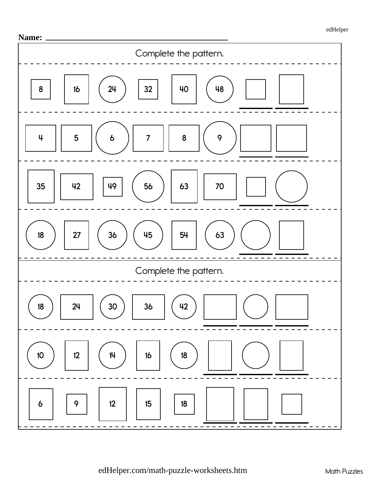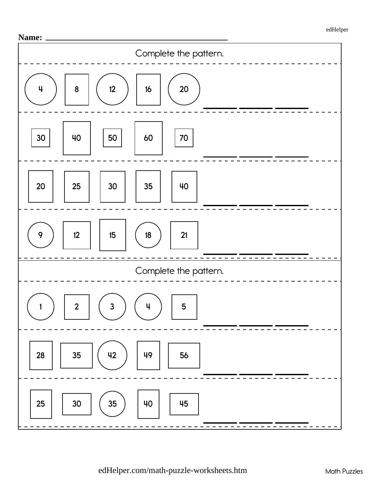

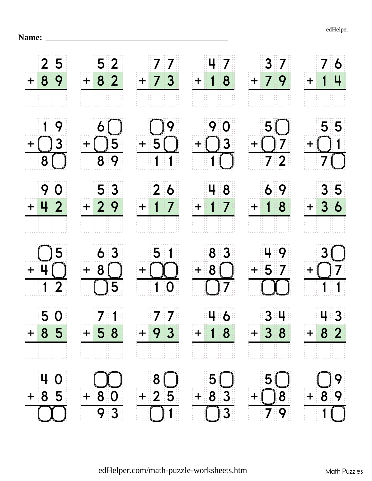